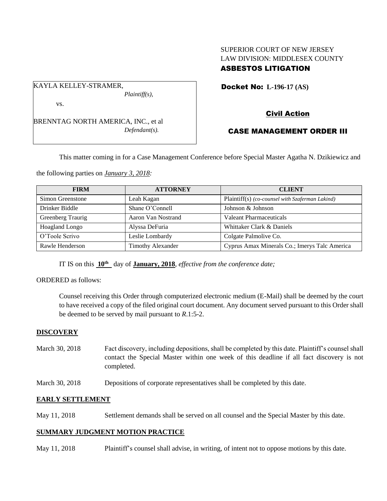# SUPERIOR COURT OF NEW JERSEY LAW DIVISION: MIDDLESEX COUNTY ASBESTOS LITIGATION

Docket No: **L-196-17 (AS)** 

## vs.

KAYLA KELLEY-STRAMER,

BRENNTAG NORTH AMERICA, INC., et al *Defendant(s).*

*Plaintiff(s),*

# Civil Action

# CASE MANAGEMENT ORDER III

This matter coming in for a Case Management Conference before Special Master Agatha N. Dzikiewicz and

the following parties on *January 3, 2018:*

| <b>FIRM</b>           | <b>ATTORNEY</b>          | <b>CLIENT</b>                                   |
|-----------------------|--------------------------|-------------------------------------------------|
| Simon Greenstone      | Leah Kagan               | Plaintiff(s) (co-counsel with Szaferman Lakind) |
| Drinker Biddle        | Shane O'Connell          | Johnson & Johnson                               |
| Greenberg Traurig     | Aaron Van Nostrand       | Valeant Pharmaceuticals                         |
| <b>Hoagland Longo</b> | Alyssa DeFuria           | Whittaker Clark & Daniels                       |
| O'Toole Scrivo        | Leslie Lombardy          | Colgate Palmolive Co.                           |
| Rawle Henderson       | <b>Timothy Alexander</b> | Cyprus Amax Minerals Co.; Imerys Talc America   |

IT IS on this **10th** day of **January, 2018**, *effective from the conference date;*

#### ORDERED as follows:

Counsel receiving this Order through computerized electronic medium (E-Mail) shall be deemed by the court to have received a copy of the filed original court document. Any document served pursuant to this Order shall be deemed to be served by mail pursuant to *R*.1:5-2.

## **DISCOVERY**

- March 30, 2018 Fact discovery, including depositions, shall be completed by this date. Plaintiff's counsel shall contact the Special Master within one week of this deadline if all fact discovery is not completed.
- March 30, 2018 Depositions of corporate representatives shall be completed by this date.

## **EARLY SETTLEMENT**

May 11, 2018 Settlement demands shall be served on all counsel and the Special Master by this date.

## **SUMMARY JUDGMENT MOTION PRACTICE**

May 11, 2018 Plaintiff's counsel shall advise, in writing, of intent not to oppose motions by this date.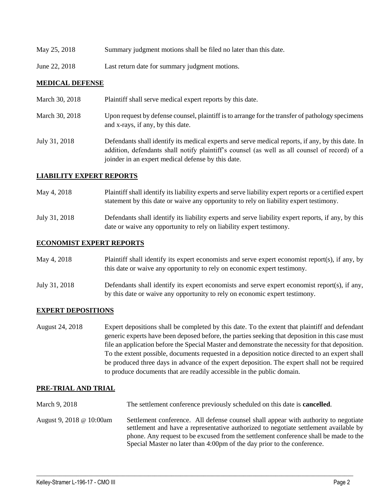| May 25, 2018 | Summary judgment motions shall be filed no later than this date. |  |  |
|--------------|------------------------------------------------------------------|--|--|
|              |                                                                  |  |  |

June 22, 2018 Last return date for summary judgment motions.

#### **MEDICAL DEFENSE**

| March 30, 2018 | Plaintiff shall serve medical expert reports by this date.                                                                                                                                                                                               |
|----------------|----------------------------------------------------------------------------------------------------------------------------------------------------------------------------------------------------------------------------------------------------------|
| March 30, 2018 | Upon request by defense counsel, plaintiff is to arrange for the transfer of pathology specimens<br>and x-rays, if any, by this date.                                                                                                                    |
| July 31, 2018  | Defendants shall identify its medical experts and serve medical reports, if any, by this date. In<br>addition, defendants shall notify plaintiff's counsel (as well as all counsel of record) of a<br>joinder in an expert medical defense by this date. |

## **LIABILITY EXPERT REPORTS**

May 4, 2018 Plaintiff shall identify its liability experts and serve liability expert reports or a certified expert statement by this date or waive any opportunity to rely on liability expert testimony.

July 31, 2018 Defendants shall identify its liability experts and serve liability expert reports, if any, by this date or waive any opportunity to rely on liability expert testimony.

#### **ECONOMIST EXPERT REPORTS**

May 4, 2018 Plaintiff shall identify its expert economists and serve expert economist report(s), if any, by this date or waive any opportunity to rely on economic expert testimony.

July 31, 2018 Defendants shall identify its expert economists and serve expert economist report(s), if any, by this date or waive any opportunity to rely on economic expert testimony.

#### **EXPERT DEPOSITIONS**

August 24, 2018 Expert depositions shall be completed by this date. To the extent that plaintiff and defendant generic experts have been deposed before, the parties seeking that deposition in this case must file an application before the Special Master and demonstrate the necessity for that deposition. To the extent possible, documents requested in a deposition notice directed to an expert shall be produced three days in advance of the expert deposition. The expert shall not be required to produce documents that are readily accessible in the public domain.

## **PRE-TRIAL AND TRIAL**

- March 9, 2018 The settlement conference previously scheduled on this date is **cancelled**.
- August 9, 2018 @ 10:00am Settlement conference. All defense counsel shall appear with authority to negotiate settlement and have a representative authorized to negotiate settlement available by phone. Any request to be excused from the settlement conference shall be made to the Special Master no later than 4:00pm of the day prior to the conference.

 $\_$  ,  $\_$  ,  $\_$  ,  $\_$  ,  $\_$  ,  $\_$  ,  $\_$  ,  $\_$  ,  $\_$  ,  $\_$  ,  $\_$  ,  $\_$  ,  $\_$  ,  $\_$  ,  $\_$  ,  $\_$  ,  $\_$  ,  $\_$  ,  $\_$  ,  $\_$  ,  $\_$  ,  $\_$  ,  $\_$  ,  $\_$  ,  $\_$  ,  $\_$  ,  $\_$  ,  $\_$  ,  $\_$  ,  $\_$  ,  $\_$  ,  $\_$  ,  $\_$  ,  $\_$  ,  $\_$  ,  $\_$  ,  $\_$  ,